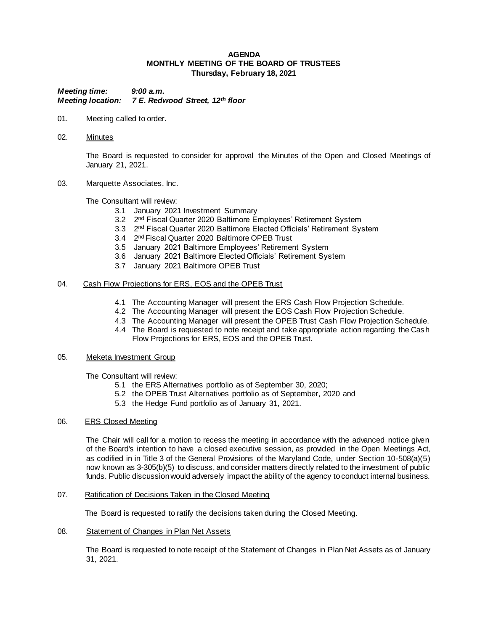### **AGENDA MONTHLY MEETING OF THE BOARD OF TRUSTEES Thursday, February 18, 2021**

*Meeting time: 9:00 a.m. Meeting location: 7 E. Redwood Street, 12th floor*

- 01. Meeting called to order.
- 02. Minutes

The Board is requested to consider for approval the Minutes of the Open and Closed Meetings of January 21, 2021.

03. Marquette Associates, Inc.

The Consultant will review:

- 3.1 January 2021 Investment Summary
- 3.2 2<sup>nd</sup> Fiscal Quarter 2020 Baltimore Employees' Retirement System
- 3.3 2<sup>nd</sup> Fiscal Quarter 2020 Baltimore Elected Officials' Retirement System
- 3.4 2nd Fiscal Quarter 2020 Baltimore OPEB Trust
- 3.5 January 2021 Baltimore Employees' Retirement System
- 3.6 January 2021 Baltimore Elected Officials' Retirement System
- 3.7 January 2021 Baltimore OPEB Trust

### 04. Cash Flow Projections for ERS, EOS and the OPEB Trust

- 4.1 The Accounting Manager will present the ERS Cash Flow Projection Schedule.
- 4.2 The Accounting Manager will present the EOS Cash Flow Projection Schedule.
- 4.3 The Accounting Manager will present the OPEB Trust Cash Flow Projection Schedule.
- 4.4 The Board is requested to note receipt and take appropriate action regarding the Cash Flow Projections for ERS, EOS and the OPEB Trust.

#### 05. Meketa Investment Group

The Consultant will review:

- 5.1 the ERS Alternatives portfolio as of September 30, 2020;
- 5.2 the OPEB Trust Alternatives portfolio as of September, 2020 and
- 5.3 the Hedge Fund portfolio as of January 31, 2021.

#### 06. ERS Closed Meeting

The Chair will call for a motion to recess the meeting in accordance with the advanced notice given of the Board's intention to have a closed executive session, as provided in the Open Meetings Act, as codified in in Title 3 of the General Provisions of the Maryland Code, under Section 10-508(a)(5) now known as 3-305(b)(5) to discuss, and consider matters directly related to the investment of public funds. Public discussion would adversely impact the ability of the agency to conduct internal business.

07. Ratification of Decisions Taken in the Closed Meeting

The Board is requested to ratify the decisions taken during the Closed Meeting.

08. Statement of Changes in Plan Net Assets

The Board is requested to note receipt of the Statement of Changes in Plan Net Assets as of January 31, 2021.